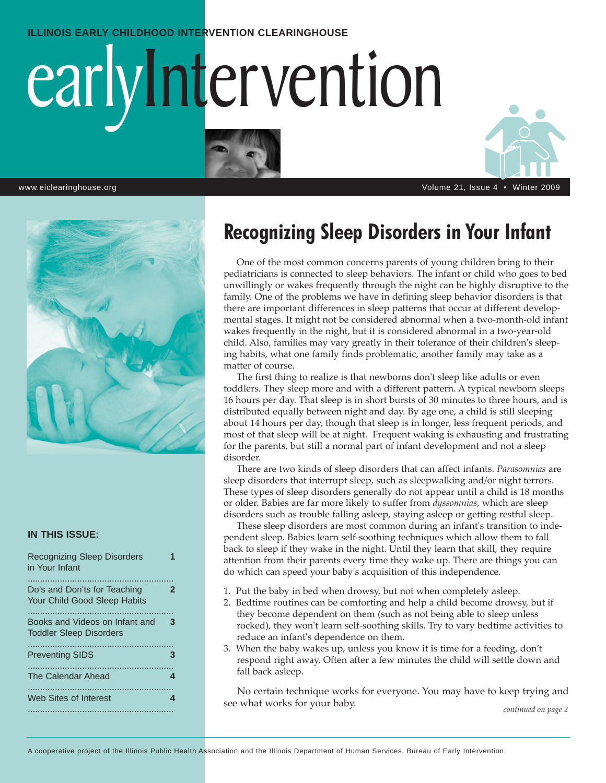#### **ILLINOIS EARLY CHILDHOOD INTERVENTION CLEARINGHOUSE**

# earlyIntervention





#### **IN THIS ISSUE:**

| <b>Recognizing Sleep Disorders</b><br>in Your Infant                |   |
|---------------------------------------------------------------------|---|
| Do's and Don'ts for Teaching<br><b>Your Child Good Sleep Habits</b> | 2 |
| Books and Videos on Infant and<br><b>Toddler Sleep Disorders</b>    | 3 |
| <b>Preventing SIDS</b>                                              | З |
| The Calendar Ahead                                                  | 4 |
| Web Sites of Interest                                               | 4 |

## **Recognizing Sleep Disorders in Your Infant**

One of the most common concerns parents of young children bring to their pediatricians is connected to sleep behaviors. The infant or child who goes to bed unwillingly or wakes frequently through the night can be highly disruptive to the family. One of the problems we have in defining sleep behavior disorders is that there are important differences in sleep patterns that occur at different developmental stages. It might not be considered abnormal when a two-month-old infant wakes frequently in the night, but it is considered abnormal in a two-year-old child. Also, families may vary greatly in their tolerance of their children's sleeping habits, what one family finds problematic, another family may take as a matter of course.

The first thing to realize is that newborns don't sleep like adults or even toddlers. They sleep more and with a different pattern. A typical newborn sleeps 16 hours per day. That sleep is in short bursts of 30 minutes to three hours, and is distributed equally between night and day. By age one, a child is still sleeping about 14 hours per day, though that sleep is in longer, less frequent periods, and most of that sleep will be at night. Frequent waking is exhausting and frustrating for the parents, but still a normal part of infant development and not a sleep disorder.

There are two kinds of sleep disorders that can affect infants. *Parasomnias* are sleep disorders that interrupt sleep, such as sleepwalking and/or night terrors. These types of sleep disorders generally do not appear until a child is 18 months or older. Babies are far more likely to suffer from *dyssomnias*, which are sleep disorders such as trouble falling asleep, staying asleep or getting restful sleep.

These sleep disorders are most common during an infant's transition to independent sleep. Babies learn self-soothing techniques which allow them to fall back to sleep if they wake in the night. Until they learn that skill, they require attention from their parents every time they wake up. There are things you can do which can speed your baby's acquisition of this independence.

- 1. Put the baby in bed when drowsy, but not when completely asleep.
- 2. Bedtime routines can be comforting and help a child become drowsy, but if they become dependent on them (such as not being able to sleep unless rocked), they won't learn self-soothing skills. Try to vary bedtime activities to reduce an infant's dependence on them.
- 3. When the baby wakes up, unless you know it is time for a feeding, don't respond right away. Often after a few minutes the child will settle down and fall back asleep.

No certain technique works for everyone. You may have to keep trying and see what works for your baby. *continued on page 2*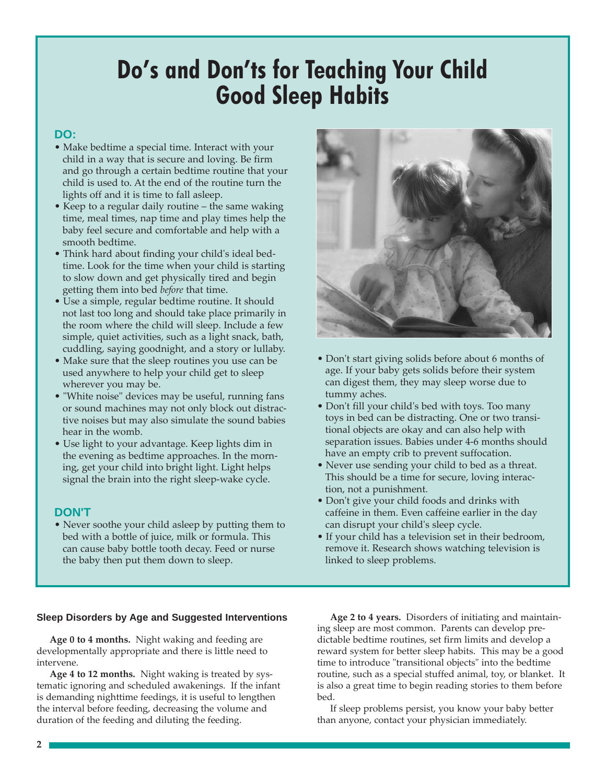# **Do's and Don'ts for Teaching Your Child Good Sleep Habits**

#### **DO:**

- Make bedtime a special time. Interact with your child in a way that is secure and loving. Be firm and go through a certain bedtime routine that your child is used to. At the end of the routine turn the lights off and it is time to fall asleep.
- Keep to a regular daily routine the same waking time, meal times, nap time and play times help the baby feel secure and comfortable and help with a smooth bedtime.
- Think hard about finding your child's ideal bedtime. Look for the time when your child is starting to slow down and get physically tired and begin getting them into bed *before* that time.
- Use a simple, regular bedtime routine. It should not last too long and should take place primarily in the room where the child will sleep. Include a few simple, quiet activities, such as a light snack, bath, cuddling, saying goodnight, and a story or lullaby.
- Make sure that the sleep routines you use can be used anywhere to help your child get to sleep wherever you may be.
- "White noise" devices may be useful, running fans or sound machines may not only block out distractive noises but may also simulate the sound babies hear in the womb.
- Use light to your advantage. Keep lights dim in the evening as bedtime approaches. In the morning, get your child into bright light. Light helps signal the brain into the right sleep-wake cycle.

#### **DON'T**

• Never soothe your child asleep by putting them to bed with a bottle of juice, milk or formula. This can cause baby bottle tooth decay. Feed or nurse the baby then put them down to sleep.



- Don't start giving solids before about 6 months of age. If your baby gets solids before their system can digest them, they may sleep worse due to tummy aches.
- Don't fill your child's bed with toys. Too many toys in bed can be distracting. One or two transitional objects are okay and can also help with separation issues. Babies under 4-6 months should have an empty crib to prevent suffocation.
- Never use sending your child to bed as a threat. This should be a time for secure, loving interaction, not a punishment.
- Don't give your child foods and drinks with caffeine in them. Even caffeine earlier in the day can disrupt your child's sleep cycle.
- If your child has a television set in their bedroom, remove it. Research shows watching television is linked to sleep problems.

#### **Sleep Disorders by Age and Suggested Interventions**

**Age 0 to 4 months.** Night waking and feeding are developmentally appropriate and there is little need to intervene.

**Age 4 to 12 months.** Night waking is treated by systematic ignoring and scheduled awakenings. If the infant is demanding nighttime feedings, it is useful to lengthen the interval before feeding, decreasing the volume and duration of the feeding and diluting the feeding.

**Age 2 to 4 years.** Disorders of initiating and maintaining sleep are most common. Parents can develop predictable bedtime routines, set firm limits and develop a reward system for better sleep habits. This may be a good time to introduce "transitional objects" into the bedtime routine, such as a special stuffed animal, toy, or blanket. It is also a great time to begin reading stories to them before bed.

If sleep problems persist, you know your baby better than anyone, contact your physician immediately.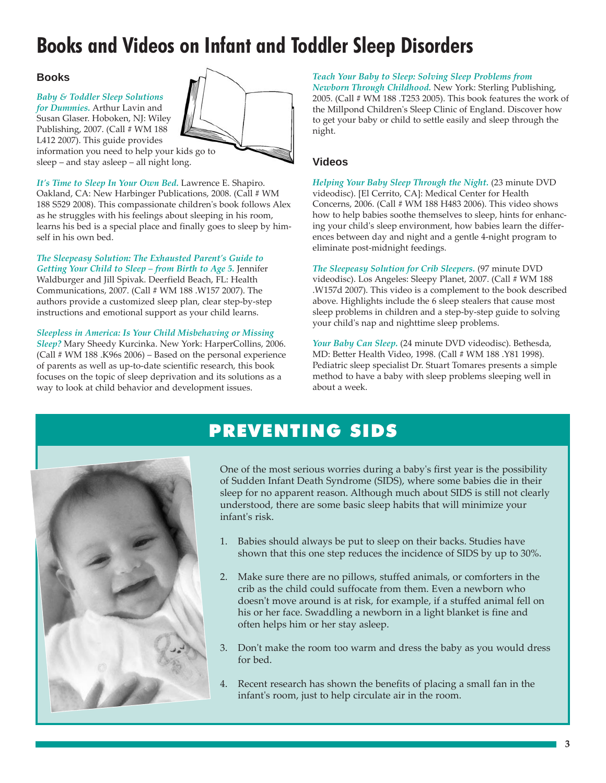## **Books and Videos on Infant and Toddler Sleep Disorders**

#### **Books**

*Baby & Toddler Sleep Solutions for Dummies.* Arthur Lavin and Susan Glaser. Hoboken, NJ: Wiley



L412 2007). This guide provides information you need to help your kids go to sleep – and stay asleep – all night long.

*It's Time to Sleep In Your Own Bed.* Lawrence E. Shapiro. Oakland, CA: New Harbinger Publications, 2008. (Call # WM 188 S529 2008). This compassionate children's book follows Alex as he struggles with his feelings about sleeping in his room, learns his bed is a special place and finally goes to sleep by himself in his own bed.

## *The Sleepeasy Solution: The Exhausted Parent's Guide to*

*Getting Your Child to Sleep – from Birth to Age 5.* Jennifer Waldburger and Jill Spivak. Deerfield Beach, FL: Health Communications, 2007. (Call # WM 188 .W157 2007). The authors provide a customized sleep plan, clear step-by-step instructions and emotional support as your child learns.

#### *Sleepless in America: Is Your Child Misbehaving or Missing*

*Sleep?* Mary Sheedy Kurcinka. New York: HarperCollins, 2006. (Call # WM 188 .K96s 2006) – Based on the personal experience of parents as well as up-to-date scientific research, this book focuses on the topic of sleep deprivation and its solutions as a way to look at child behavior and development issues.

*Teach Your Baby to Sleep: Solving Sleep Problems from Newborn Through Childhood.* New York: Sterling Publishing, 2005. (Call # WM 188 .T253 2005). This book features the work of the Millpond Children's Sleep Clinic of England. Discover how to get your baby or child to settle easily and sleep through the night.

#### **Videos**

*Helping Your Baby Sleep Through the Night.* (23 minute DVD videodisc). [El Cerrito, CA]: Medical Center for Health Concerns, 2006. (Call # WM 188 H483 2006). This video shows how to help babies soothe themselves to sleep, hints for enhancing your child's sleep environment, how babies learn the differences between day and night and a gentle 4-night program to eliminate post-midnight feedings.

*The Sleepeasy Solution for Crib Sleepers.* (97 minute DVD videodisc). Los Angeles: Sleepy Planet, 2007. (Call # WM 188 .W157d 2007). This video is a complement to the book described above. Highlights include the 6 sleep stealers that cause most sleep problems in children and a step-by-step guide to solving your child's nap and nighttime sleep problems.

*Your Baby Can Sleep.* (24 minute DVD videodisc). Bethesda, MD: Better Health Video, 1998. (Call # WM 188 .Y81 1998). Pediatric sleep specialist Dr. Stuart Tomares presents a simple method to have a baby with sleep problems sleeping well in about a week.

## PREVENTING SIDS



One of the most serious worries during a baby's first year is the possibility of Sudden Infant Death Syndrome (SIDS), where some babies die in their sleep for no apparent reason. Although much about SIDS is still not clearly understood, there are some basic sleep habits that will minimize your infant's risk.

- 1. Babies should always be put to sleep on their backs. Studies have shown that this one step reduces the incidence of SIDS by up to 30%.
- 2. Make sure there are no pillows, stuffed animals, or comforters in the crib as the child could suffocate from them. Even a newborn who doesn't move around is at risk, for example, if a stuffed animal fell on his or her face. Swaddling a newborn in a light blanket is fine and often helps him or her stay asleep.
- 3. Don't make the room too warm and dress the baby as you would dress for bed.
- 4. Recent research has shown the benefits of placing a small fan in the infant's room, just to help circulate air in the room.